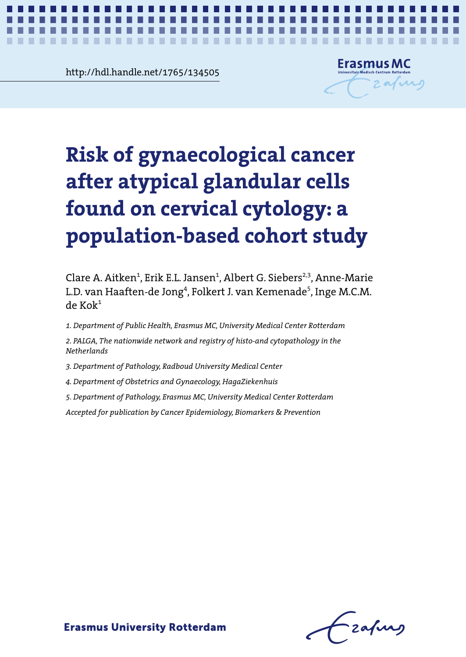**Chapter 4.334505**<br>Chapter 4.334505<br>Chapter 4.334505 http://hdl.handle.net/1765/134505



*Risk of gynaecological cancer following AGC* **1**

# **cells found on cervical cytology: a population-based Risk of gynaecological cancer cohort study after atypical glandular cells found on cervical cytology: a population-based cohort study**

Clare A. Aitken<sup>1</sup>, Erik E.L. Jansen<sup>1</sup>, Albert G. Siebers<sup>2,3</sup>, Anne-Marie  $\zeta_0$  $\mathbf{k}^1$ L.D. van Haaften-de Jong<sup>4</sup>, Folkert J. van Kemenade<sup>5</sup>, Inge M.C.M.  $de$  Ko $k<sup>1</sup>$ 

1. Department of Public Health, Erasmus MC, University Medical Center Rotterdam<br>.

2. PALGA, The nationwide network and registry of histo-and cytopathology in the *Netherlands*

3. Department of Pathology, Radboud University Medical Center

*4. Department of Obstetrics and Gynaecology, HagaZiekenhuis*

*Accepted for publication by Cancer Epidemiology, Biomarkers & Prevention 5. Department of Pathology, Erasmus MC, University Medical Center Rotterdam*

Risk of gynaecological cancer following AGC *Accepted for publication by Cancer Epidemiology, Biomarkers & Prevention*

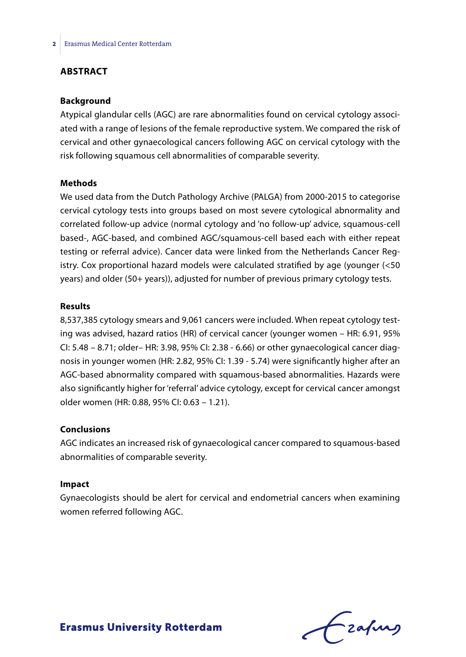# **ABSTRACT**

### **Background**

Atypical glandular cells (AGC) are rare abnormalities found on cervical cytology associated with a range of lesions of the female reproductive system. We compared the risk of cervical and other gynaecological cancers following AGC on cervical cytology with the risk following squamous cell abnormalities of comparable severity.

### **Methods**

We used data from the Dutch Pathology Archive (PALGA) from 2000-2015 to categorise cervical cytology tests into groups based on most severe cytological abnormality and correlated follow-up advice (normal cytology and 'no follow-up' advice, squamous-cell based-, AGC-based, and combined AGC/squamous-cell based each with either repeat testing or referral advice). Cancer data were linked from the Netherlands Cancer Registry. Cox proportional hazard models were calculated stratified by age (younger (<50 years) and older (50+ years)), adjusted for number of previous primary cytology tests.

#### **Results**

8,537,385 cytology smears and 9,061 cancers were included. When repeat cytology testing was advised, hazard ratios (HR) of cervical cancer (younger women – HR: 6.91, 95% CI: 5.48 – 8.71; older– HR: 3.98, 95% CI: 2.38 - 6.66) or other gynaecological cancer diagnosis in younger women (HR: 2.82, 95% CI: 1.39 - 5.74) were significantly higher after an AGC-based abnormality compared with squamous-based abnormalities. Hazards were also significantly higher for 'referral' advice cytology, except for cervical cancer amongst older women (HR: 0.88, 95% CI: 0.63 – 1.21).

### **Conclusions**

AGC indicates an increased risk of gynaecological cancer compared to squamous-based abnormalities of comparable severity.

#### **Impact**

Gynaecologists should be alert for cervical and endometrial cancers when examining women referred following AGC.

Lzafurs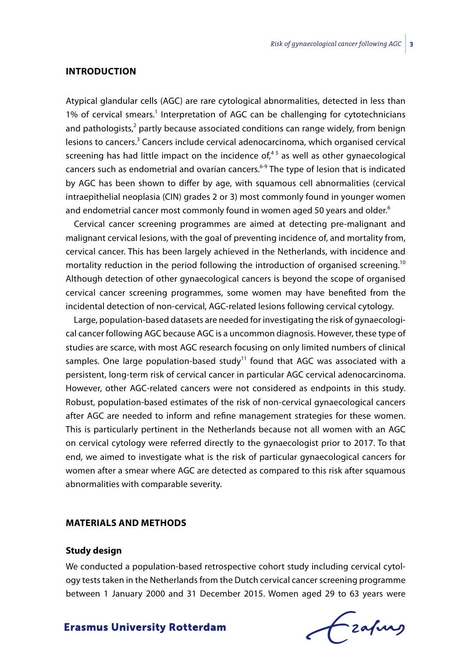### **INTRODUCTION**

Atypical glandular cells (AGC) are rare cytological abnormalities, detected in less than 1% of cervical smears.<sup>1</sup> Interpretation of AGC can be challenging for cytotechnicians and pathologists,<sup>2</sup> partly because associated conditions can range widely, from benign lesions to cancers.<sup>3</sup> Cancers include cervical adenocarcinoma, which organised cervical screening has had little impact on the incidence of, $45$  as well as other gynaecological cancers such as endometrial and ovarian cancers. $6-9$  The type of lesion that is indicated by AGC has been shown to differ by age, with squamous cell abnormalities (cervical intraepithelial neoplasia (CIN) grades 2 or 3) most commonly found in younger women and endometrial cancer most commonly found in women aged 50 years and older.<sup>6</sup>

Cervical cancer screening programmes are aimed at detecting pre-malignant and malignant cervical lesions, with the goal of preventing incidence of, and mortality from, cervical cancer. This has been largely achieved in the Netherlands, with incidence and mortality reduction in the period following the introduction of organised screening.<sup>10</sup> Although detection of other gynaecological cancers is beyond the scope of organised cervical cancer screening programmes, some women may have benefited from the incidental detection of non-cervical, AGC-related lesions following cervical cytology.

Large, population-based datasets are needed for investigating the risk of gynaecological cancer following AGC because AGC is a uncommon diagnosis. However, these type of studies are scarce, with most AGC research focusing on only limited numbers of clinical samples. One large population-based study<sup>11</sup> found that AGC was associated with a persistent, long-term risk of cervical cancer in particular AGC cervical adenocarcinoma. However, other AGC-related cancers were not considered as endpoints in this study. Robust, population-based estimates of the risk of non-cervical gynaecological cancers after AGC are needed to inform and refine management strategies for these women. This is particularly pertinent in the Netherlands because not all women with an AGC on cervical cytology were referred directly to the gynaecologist prior to 2017. To that end, we aimed to investigate what is the risk of particular gynaecological cancers for women after a smear where AGC are detected as compared to this risk after squamous abnormalities with comparable severity.

### **MATERIALS AND METHODS**

### **Study design**

We conducted a population-based retrospective cohort study including cervical cytology tests taken in the Netherlands from the Dutch cervical cancer screening programme between 1 January 2000 and 31 December 2015. Women aged 29 to 63 years were

frafing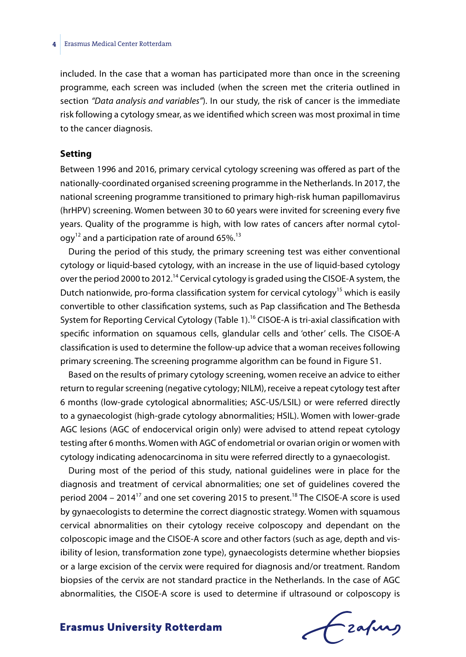#### **4** Erasmus Medical Center Rotterdam

included. In the case that a woman has participated more than once in the screening programme, each screen was included (when the screen met the criteria outlined in section *"Data analysis and variables"*). In our study, the risk of cancer is the immediate risk following a cytology smear, as we identified which screen was most proximal in time to the cancer diagnosis.

### **Setting**

Between 1996 and 2016, primary cervical cytology screening was offered as part of the nationally-coordinated organised screening programme in the Netherlands. In 2017, the national screening programme transitioned to primary high-risk human papillomavirus (hrHPV) screening. Women between 30 to 60 years were invited for screening every five years. Quality of the programme is high, with low rates of cancers after normal cytol $qq^{12}$  and a participation rate of around 65%.<sup>13</sup>

During the period of this study, the primary screening test was either conventional cytology or liquid-based cytology, with an increase in the use of liquid-based cytology over the period 2000 to 2012.<sup>14</sup> Cervical cytology is graded using the CISOE-A system, the Dutch nationwide, pro-forma classification system for cervical cytology<sup>15</sup> which is easily convertible to other classification systems, such as Pap classification and The Bethesda System for Reporting Cervical Cytology (Table 1).<sup>16</sup> CISOE-A is tri-axial classification with specific information on squamous cells, glandular cells and 'other' cells. The CISOE-A classification is used to determine the follow-up advice that a woman receives following primary screening. The screening programme algorithm can be found in Figure S1.

Based on the results of primary cytology screening, women receive an advice to either return to regular screening (negative cytology; NILM), receive a repeat cytology test after 6 months (low-grade cytological abnormalities; ASC-US/LSIL) or were referred directly to a gynaecologist (high-grade cytology abnormalities; HSIL). Women with lower-grade AGC lesions (AGC of endocervical origin only) were advised to attend repeat cytology testing after 6 months. Women with AGC of endometrial or ovarian origin or women with cytology indicating adenocarcinoma in situ were referred directly to a gynaecologist.

During most of the period of this study, national guidelines were in place for the diagnosis and treatment of cervical abnormalities; one set of guidelines covered the period 2004 – 2014<sup>17</sup> and one set covering 2015 to present.<sup>18</sup> The CISOE-A score is used by gynaecologists to determine the correct diagnostic strategy. Women with squamous cervical abnormalities on their cytology receive colposcopy and dependant on the colposcopic image and the CISOE-A score and other factors (such as age, depth and visibility of lesion, transformation zone type), gynaecologists determine whether biopsies or a large excision of the cervix were required for diagnosis and/or treatment. Random biopsies of the cervix are not standard practice in the Netherlands. In the case of AGC abnormalities, the CISOE-A score is used to determine if ultrasound or colposcopy is

Frahing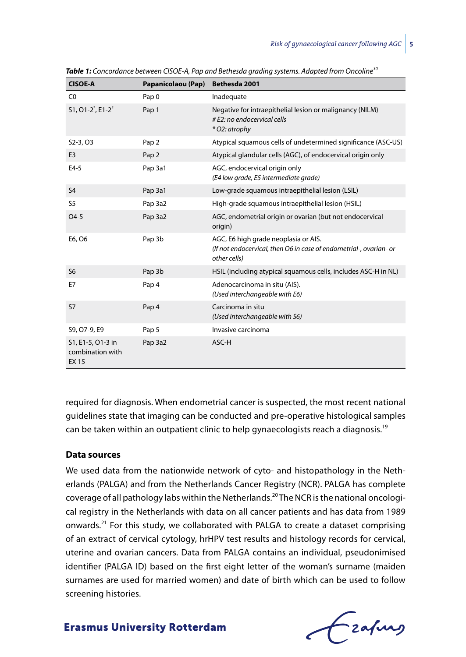| <b>CISOE-A</b>                                       | Papanicolaou (Pap) | Bethesda 2001                                                                                                              |
|------------------------------------------------------|--------------------|----------------------------------------------------------------------------------------------------------------------------|
| CO                                                   | Pap <sub>0</sub>   | Inadequate                                                                                                                 |
| S1, O1-2 <sup>*</sup> , E1-2 <sup>*</sup>            | Pap 1              | Negative for intraepithelial lesion or malignancy (NILM)<br># E2: no endocervical cells<br>* O2: atrophy                   |
| S2-3, O3                                             | Pap <sub>2</sub>   | Atypical squamous cells of undetermined significance (ASC-US)                                                              |
| E <sub>3</sub>                                       | Pap <sub>2</sub>   | Atypical glandular cells (AGC), of endocervical origin only                                                                |
| $E4-5$                                               | Pap 3a1            | AGC, endocervical origin only<br>(E4 low grade, E5 intermediate grade)                                                     |
| S <sub>4</sub>                                       | Pap 3a1            | Low-grade squamous intraepithelial lesion (LSIL)                                                                           |
| S <sub>5</sub>                                       | Pap 3a2            | High-grade squamous intraepithelial lesion (HSIL)                                                                          |
| $O4-5$                                               | Pap 3a2            | AGC, endometrial origin or ovarian (but not endocervical<br>origin)                                                        |
| E6, O6                                               | Pap 3b             | AGC, E6 high grade neoplasia or AIS.<br>(If not endocervical, then O6 in case of endometrial-, ovarian- or<br>other cells) |
| S <sub>6</sub>                                       | Pap 3b             | HSIL (including atypical squamous cells, includes ASC-H in NL)                                                             |
| E7                                                   | Pap <sub>4</sub>   | Adenocarcinoma in situ (AIS).<br>(Used interchangeable with E6)                                                            |
| <b>S7</b>                                            | Pap <sub>4</sub>   | Carcinoma in situ<br>(Used interchangeable with S6)                                                                        |
| S9, O7-9, E9                                         | Pap <sub>5</sub>   | Invasive carcinoma                                                                                                         |
| S1, E1-5, O1-3 in<br>combination with<br><b>EX15</b> | Pap 3a2            | ASC-H                                                                                                                      |

*Table 1: Concordance between CISOE-A, Pap and Bethesda grading systems. Adapted from Oncoline30*

required for diagnosis. When endometrial cancer is suspected, the most recent national guidelines state that imaging can be conducted and pre-operative histological samples can be taken within an outpatient clinic to help gynaecologists reach a diagnosis.<sup>19</sup>

### **Data sources**

We used data from the nationwide network of cyto- and histopathology in the Netherlands (PALGA) and from the Netherlands Cancer Registry (NCR). PALGA has complete coverage of all pathology labs within the Netherlands.20 The NCR is the national oncological registry in the Netherlands with data on all cancer patients and has data from 1989 onwards.21 For this study, we collaborated with PALGA to create a dataset comprising of an extract of cervical cytology, hrHPV test results and histology records for cervical, uterine and ovarian cancers. Data from PALGA contains an individual, pseudonimised identifier (PALGA ID) based on the first eight letter of the woman's surname (maiden surnames are used for married women) and date of birth which can be used to follow screening histories.

Frahing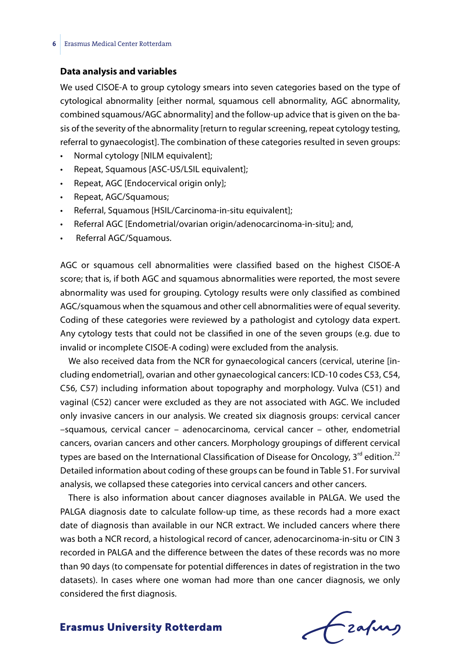### **Data analysis and variables**

We used CISOE-A to group cytology smears into seven categories based on the type of cytological abnormality [either normal, squamous cell abnormality, AGC abnormality, combined squamous/AGC abnormality] and the follow-up advice that is given on the basis of the severity of the abnormality [return to regular screening, repeat cytology testing, referral to gynaecologist]. The combination of these categories resulted in seven groups:

- Normal cytology [NILM equivalent];
- Repeat, Squamous [ASC-US/LSIL equivalent];
- Repeat, AGC [Endocervical origin only];
- Repeat, AGC/Squamous;
- Referral, Squamous [HSIL/Carcinoma-in-situ equivalent];
- Referral AGC [Endometrial/ovarian origin/adenocarcinoma-in-situ]; and,
- Referral AGC/Squamous.

AGC or squamous cell abnormalities were classified based on the highest CISOE-A score; that is, if both AGC and squamous abnormalities were reported, the most severe abnormality was used for grouping. Cytology results were only classified as combined AGC/squamous when the squamous and other cell abnormalities were of equal severity. Coding of these categories were reviewed by a pathologist and cytology data expert. Any cytology tests that could not be classified in one of the seven groups (e.g. due to invalid or incomplete CISOE-A coding) were excluded from the analysis.

We also received data from the NCR for gynaecological cancers (cervical, uterine [including endometrial], ovarian and other gynaecological cancers: ICD-10 codes C53, C54, C56, C57) including information about topography and morphology. Vulva (C51) and vaginal (C52) cancer were excluded as they are not associated with AGC. We included only invasive cancers in our analysis. We created six diagnosis groups: cervical cancer –squamous, cervical cancer – adenocarcinoma, cervical cancer – other, endometrial cancers, ovarian cancers and other cancers. Morphology groupings of different cervical types are based on the International Classification of Disease for Oncology,  $3^{rd}$  edition.<sup>22</sup> Detailed information about coding of these groups can be found in Table S1. For survival analysis, we collapsed these categories into cervical cancers and other cancers.

There is also information about cancer diagnoses available in PALGA. We used the PALGA diagnosis date to calculate follow-up time, as these records had a more exact date of diagnosis than available in our NCR extract. We included cancers where there was both a NCR record, a histological record of cancer, adenocarcinoma-in-situ or CIN 3 recorded in PALGA and the difference between the dates of these records was no more than 90 days (to compensate for potential differences in dates of registration in the two datasets). In cases where one woman had more than one cancer diagnosis, we only considered the first diagnosis.

Frahing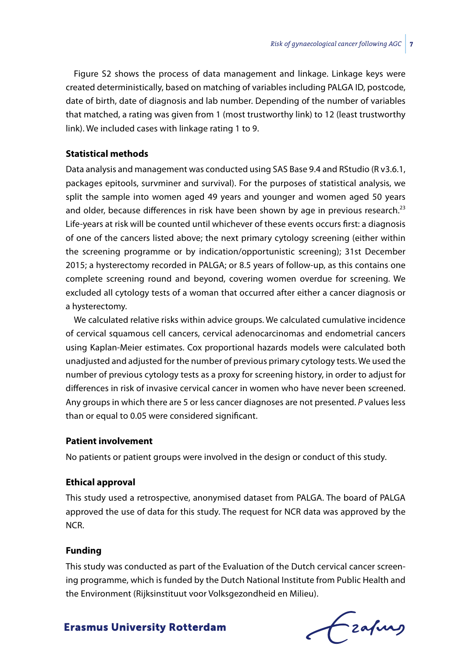Figure S2 shows the process of data management and linkage. Linkage keys were created deterministically, based on matching of variables including PALGA ID, postcode, date of birth, date of diagnosis and lab number. Depending of the number of variables that matched, a rating was given from 1 (most trustworthy link) to 12 (least trustworthy link). We included cases with linkage rating 1 to 9.

### **Statistical methods**

Data analysis and management was conducted using SAS Base 9.4 and RStudio (R v3.6.1, packages epitools, survminer and survival). For the purposes of statistical analysis, we split the sample into women aged 49 years and younger and women aged 50 years and older, because differences in risk have been shown by age in previous research. $^{23}$ Life-years at risk will be counted until whichever of these events occurs first: a diagnosis of one of the cancers listed above; the next primary cytology screening (either within the screening programme or by indication/opportunistic screening); 31st December 2015; a hysterectomy recorded in PALGA; or 8.5 years of follow-up, as this contains one complete screening round and beyond, covering women overdue for screening. We excluded all cytology tests of a woman that occurred after either a cancer diagnosis or a hysterectomy.

We calculated relative risks within advice groups. We calculated cumulative incidence of cervical squamous cell cancers, cervical adenocarcinomas and endometrial cancers using Kaplan-Meier estimates. Cox proportional hazards models were calculated both unadjusted and adjusted for the number of previous primary cytology tests. We used the number of previous cytology tests as a proxy for screening history, in order to adjust for differences in risk of invasive cervical cancer in women who have never been screened. Any groups in which there are 5 or less cancer diagnoses are not presented. *P* values less than or equal to 0.05 were considered significant.

## **Patient involvement**

No patients or patient groups were involved in the design or conduct of this study.

# **Ethical approval**

This study used a retrospective, anonymised dataset from PALGA. The board of PALGA approved the use of data for this study. The request for NCR data was approved by the NCR.

### **Funding**

This study was conducted as part of the Evaluation of the Dutch cervical cancer screening programme, which is funded by the Dutch National Institute from Public Health and the Environment (Rijksinstituut voor Volksgezondheid en Milieu).

**Erasmus University Rotterdam** 

Fraques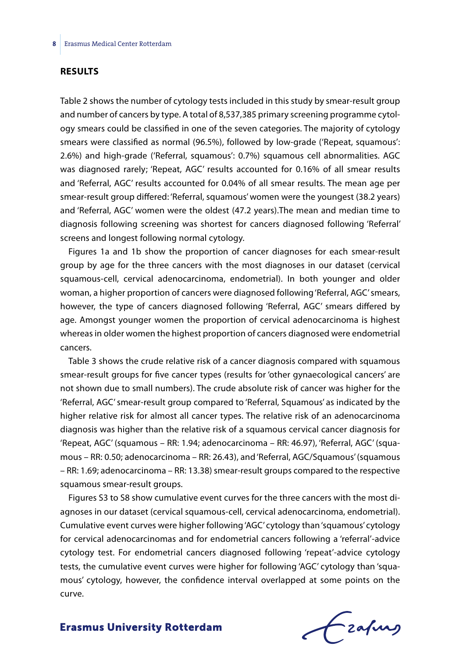### **RESULTS**

Table 2 shows the number of cytology tests included in this study by smear-result group and number of cancers by type. A total of 8,537,385 primary screening programme cytology smears could be classified in one of the seven categories. The majority of cytology smears were classified as normal (96.5%), followed by low-grade ('Repeat, squamous': 2.6%) and high-grade ('Referral, squamous': 0.7%) squamous cell abnormalities. AGC was diagnosed rarely; 'Repeat, AGC' results accounted for 0.16% of all smear results and 'Referral, AGC' results accounted for 0.04% of all smear results. The mean age per smear-result group differed: 'Referral, squamous' women were the youngest (38.2 years) and 'Referral, AGC' women were the oldest (47.2 years).The mean and median time to diagnosis following screening was shortest for cancers diagnosed following 'Referral' screens and longest following normal cytology.

Figures 1a and 1b show the proportion of cancer diagnoses for each smear-result group by age for the three cancers with the most diagnoses in our dataset (cervical squamous-cell, cervical adenocarcinoma, endometrial). In both younger and older woman, a higher proportion of cancers were diagnosed following 'Referral, AGC' smears, however, the type of cancers diagnosed following 'Referral, AGC' smears differed by age. Amongst younger women the proportion of cervical adenocarcinoma is highest whereas in older women the highest proportion of cancers diagnosed were endometrial cancers.

Table 3 shows the crude relative risk of a cancer diagnosis compared with squamous smear-result groups for five cancer types (results for 'other gynaecological cancers' are not shown due to small numbers). The crude absolute risk of cancer was higher for the 'Referral, AGC' smear-result group compared to 'Referral, Squamous' as indicated by the higher relative risk for almost all cancer types. The relative risk of an adenocarcinoma diagnosis was higher than the relative risk of a squamous cervical cancer diagnosis for 'Repeat, AGC' (squamous – RR: 1.94; adenocarcinoma – RR: 46.97), 'Referral, AGC' (squamous – RR: 0.50; adenocarcinoma – RR: 26.43), and 'Referral, AGC/Squamous' (squamous – RR: 1.69; adenocarcinoma – RR: 13.38) smear-result groups compared to the respective squamous smear-result groups.

Figures S3 to S8 show cumulative event curves for the three cancers with the most diagnoses in our dataset (cervical squamous-cell, cervical adenocarcinoma, endometrial). Cumulative event curves were higher following 'AGC' cytology than 'squamous' cytology for cervical adenocarcinomas and for endometrial cancers following a 'referral'-advice cytology test. For endometrial cancers diagnosed following 'repeat'-advice cytology tests, the cumulative event curves were higher for following 'AGC' cytology than 'squamous' cytology, however, the confidence interval overlapped at some points on the curve.

frafing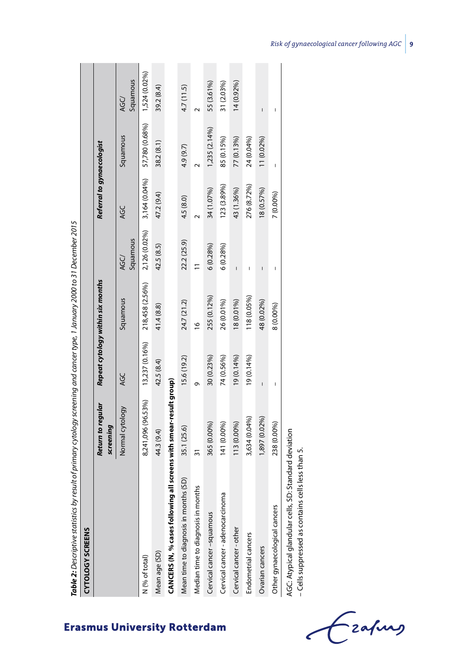| Table 2: Descriptive statistics by result of primary cytology screening and cancer type, 1 January 2000 to 31 December 2015 |                                      |                |                                   |                  |                           |                |                  |
|-----------------------------------------------------------------------------------------------------------------------------|--------------------------------------|----------------|-----------------------------------|------------------|---------------------------|----------------|------------------|
| <b>CYTOLOGY SCREENS</b>                                                                                                     |                                      |                |                                   |                  |                           |                |                  |
|                                                                                                                             | Return to regular<br>screening       |                | Repeat cytology within six months |                  | Referral to gynaecologist |                |                  |
|                                                                                                                             | Normal cytology                      | AGC            | Squamous                          | Squamous<br>AGC/ | <b>AGC</b>                | Squamous       | Squamous<br>AGC/ |
| N (% of total)                                                                                                              | 8,241,096 (96.53%)                   | 13,237 (0.16%) | 218,458 (2.56%)                   | 2,126 (0.02%)    | 3,164 (0.04%)             | 57,780 (0.68%) | 1,524 (0.02%)    |
| Mean age (SD)                                                                                                               | 44.3 (9.4)                           | 42.5 (8.4)     | 41.4 (8.8)                        | 42.5 (8.5)       | 47.2 (9.4)                | 38.2(8.1)      | 39.2 (8.4)       |
| CANCERS (N, % cases following                                                                                               | all screens with smear-result group) |                |                                   |                  |                           |                |                  |
| Mean time to diagnosis in months (SD)                                                                                       | 35.1 (25.6)                          | 15.6 (19.2)    | 24.7 (21.2)                       | 22.2 (25.9)      | 4.5 (8.0)                 | 4.9 (9.7)      | 4.7 (11.5)       |
| Median time to diagnosis in months                                                                                          | ్గ                                   | ᡡ              | $\frac{6}{2}$                     |                  |                           |                |                  |
| Cervical cancer-squamous                                                                                                    | 365 (0.00%)                          | 30 (0.23%)     | 255 (0.12%)                       | 6(0.28%)         | 34 (1.07%)                | 1,235 (2.14%)  | 55 (3.61%)       |
| Cervical cancer - adenocarcinoma                                                                                            | 141 (0.00%)                          | 74 (0.56%)     | 26 (0.01%)                        | $6(0.28\%)$      | 123 (3.89%)               | 85 (0.15%)     | 31 (2.03%)       |
| Cervical cancer-other                                                                                                       | 113 (0.00%)                          | 19 (0.14%)     | 18 (0.01%)                        |                  | 43 (1.36%)                | 77 (0.13%)     | 14 (0.92%)       |
| Endometrial cancers                                                                                                         | 3,634 (0.04%)                        | $19(0.14\%)$   | 118 (0.05%)                       | I                | 276 (8.72%)               | 24 (0.04%)     |                  |
| Ovarian cancers                                                                                                             | 1,897 (0.02%)                        | $\overline{1}$ | 48 (0.02%)                        | I                | 18 (0.57%)                | 11 (0.02%)     | I                |
| Other gynaecological cancers                                                                                                | 238 (0.00%)                          |                | 8 (0.00%)                         | ı                | 7 (0.00%)                 | Ï              | I                |
| AGC: Atypical glandular cells, SD: Standard deviation<br>- Cells suppressed as contains cells less than 5.                  |                                      |                |                                   |                  |                           |                |                  |

zafung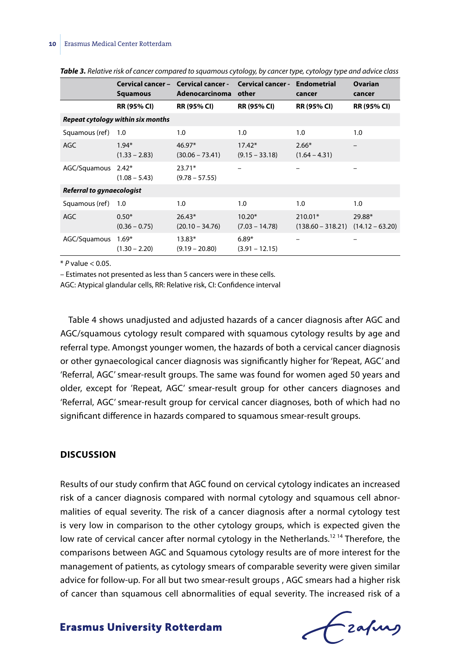|                           | Cervical cancer -<br><b>Squamous</b> | <b>Cervical cancer -</b><br>Adenocarcinoma | <b>Cervical cancer -</b><br>other | <b>Endometrial</b><br>cancer   | Ovarian<br>cancer           |
|---------------------------|--------------------------------------|--------------------------------------------|-----------------------------------|--------------------------------|-----------------------------|
|                           | <b>RR (95% CI)</b>                   | <b>RR (95% CI)</b>                         | <b>RR (95% CI)</b>                | <b>RR (95% CI)</b>             | <b>RR (95% CI)</b>          |
|                           | Repeat cytology within six months    |                                            |                                   |                                |                             |
| Squamous (ref)            | 1.0                                  | 1.0                                        | 1.0                               | 1.0                            | 1.0                         |
| <b>AGC</b>                | $1.94*$<br>$(1.33 - 2.83)$           | $46.97*$<br>$(30.06 - 73.41)$              | $17.42*$<br>$(9.15 - 33.18)$      | $2.66*$<br>$(1.64 - 4.31)$     |                             |
| AGC/Squamous 2.42*        | $(1.08 - 5.43)$                      | $23.71*$<br>$(9.78 - 57.55)$               |                                   | -                              |                             |
| Referral to gynaecologist |                                      |                                            |                                   |                                |                             |
| Squamous (ref)            | 1.0                                  | 1.0                                        | 1.0                               | 1.0                            | 1.0                         |
| <b>AGC</b>                | $0.50*$<br>$(0.36 - 0.75)$           | $26.43*$<br>$(20.10 - 34.76)$              | $10.20*$<br>$(7.03 - 14.78)$      | 210.01*<br>$(138.60 - 318.21)$ | 29.88*<br>$(14.12 - 63.20)$ |
| AGC/Squamous              | $1.69*$<br>$(1.30 - 2.20)$           | $13.83*$<br>$(9.19 - 20.80)$               | $6.89*$<br>$(3.91 - 12.15)$       | -                              |                             |

*Table 3. Relative risk of cancer compared to squamous cytology, by cancer type, cytology type and advice class*

\* *P* value < 0.05.

– Estimates not presented as less than 5 cancers were in these cells.

AGC: Atypical glandular cells, RR: Relative risk, CI: Confidence interval

Table 4 shows unadjusted and adjusted hazards of a cancer diagnosis after AGC and AGC/squamous cytology result compared with squamous cytology results by age and referral type. Amongst younger women, the hazards of both a cervical cancer diagnosis or other gynaecological cancer diagnosis was significantly higher for 'Repeat, AGC' and 'Referral, AGC' smear-result groups. The same was found for women aged 50 years and older, except for 'Repeat, AGC' smear-result group for other cancers diagnoses and 'Referral, AGC' smear-result group for cervical cancer diagnoses, both of which had no significant difference in hazards compared to squamous smear-result groups.

### **DISCUSSION**

Results of our study confirm that AGC found on cervical cytology indicates an increased risk of a cancer diagnosis compared with normal cytology and squamous cell abnormalities of equal severity. The risk of a cancer diagnosis after a normal cytology test is very low in comparison to the other cytology groups, which is expected given the low rate of cervical cancer after normal cytology in the Netherlands.<sup>1214</sup> Therefore, the comparisons between AGC and Squamous cytology results are of more interest for the management of patients, as cytology smears of comparable severity were given similar advice for follow-up. For all but two smear-result groups , AGC smears had a higher risk of cancer than squamous cell abnormalities of equal severity. The increased risk of a

frafing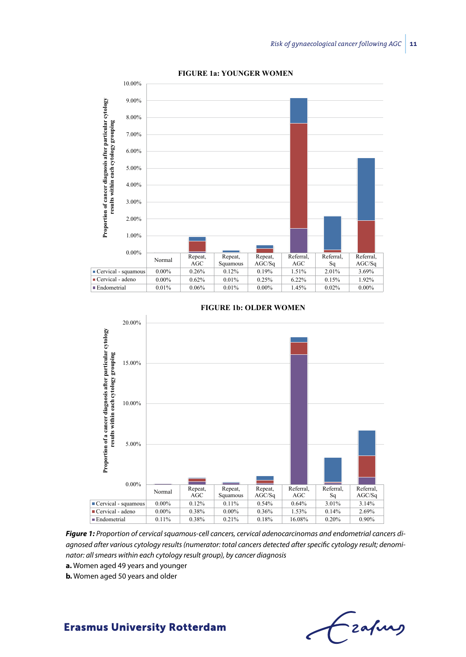

**FIGURE 1a: YOUNGER WOMEN**



#### **FIGURE 1b: OLDER WOMEN**

*Figure 1: Proportion of cervical squamous-cell cancers, cervical adenocarcinomas and endometrial cancers diagnosed after various cytology results (numerator: total cancers detected after specific cytology result; denominator: all smears within each cytology result group), by cancer diagnosis*

- **a.** Women aged 49 years and younger
- **b.** Women aged 50 years and older

- zafung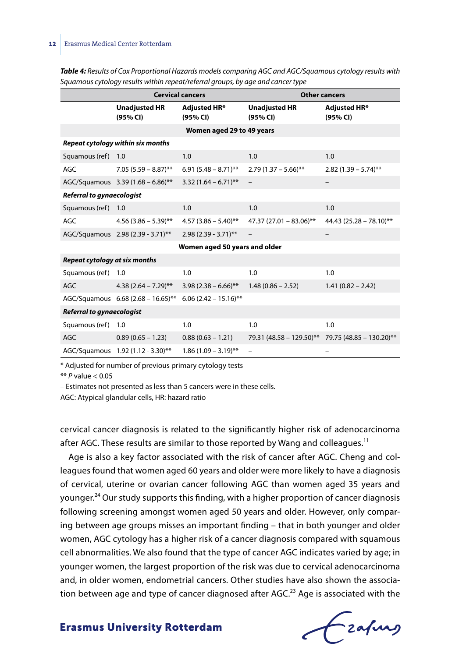|                                  | <b>Cervical cancers</b>            |                               |                                                   | <b>Other cancers</b>            |
|----------------------------------|------------------------------------|-------------------------------|---------------------------------------------------|---------------------------------|
|                                  | <b>Unadjusted HR</b><br>(95% CI)   | Adjusted HR*<br>(95% CI)      | <b>Unadjusted HR</b><br>(95% CI)                  | <b>Adjusted HR*</b><br>(95% CI) |
|                                  |                                    | Women aged 29 to 49 years     |                                                   |                                 |
|                                  | Repeat cytology within six months  |                               |                                                   |                                 |
| Squamous (ref) 1.0               |                                    | 1.0                           | 1.0                                               | 1.0                             |
| <b>AGC</b>                       | $7.05(5.59 - 8.87)$ **             | $6.91(5.48 - 8.71)$ **        | $2.79(1.37 - 5.66)$ **                            | $2.82$ (1.39 – 5.74)**          |
|                                  | AGC/Squamous 3.39 (1.68 - 6.86)**  | $3.32(1.64 - 6.71)$ **        |                                                   |                                 |
| <b>Referral to gynaecologist</b> |                                    |                               |                                                   |                                 |
| Squamous (ref) 1.0               |                                    | 1.0                           | 1.0                                               | 1.0                             |
| <b>AGC</b>                       | $4.56(3.86 - 5.39)$ **             | $4.57(3.86 - 5.40)$ **        | 47.37 (27.01 - 83.06)**                           | 44.43 (25.28 - 78.10)**         |
|                                  | AGC/Squamous 2.98 (2.39 - 3.71)**  | $2.98(2.39 - 3.71)$ **        |                                                   |                                 |
|                                  |                                    | Women aged 50 years and older |                                                   |                                 |
| Repeat cytology at six months    |                                    |                               |                                                   |                                 |
| Squamous (ref)                   | 1.0                                | 1.0                           | 1.0                                               | 1.0                             |
| <b>AGC</b>                       | $4.38(2.64 - 7.29)$ **             | $3.98(2.38-6.66)$ **          | $1.48(0.86 - 2.52)$                               | $1.41(0.82 - 2.42)$             |
|                                  | AGC/Squamous 6.68 (2.68 - 16.65)** | $6.06$ (2.42 - 15.16)**       |                                                   |                                 |
| <b>Referral to gynaecologist</b> |                                    |                               |                                                   |                                 |
| Squamous (ref)                   | 1.0                                | 1.0                           | 1.0                                               | 1.0                             |
| <b>AGC</b>                       | $0.89(0.65 - 1.23)$                | $0.88(0.63 - 1.21)$           | 79.31 (48.58 - 129.50)** 79.75 (48.85 - 130.20)** |                                 |
|                                  | AGC/Squamous 1.92 (1.12 - 3.30)**  | $1.86(1.09 - 3.19)$ **        | $\overline{\phantom{0}}$                          |                                 |

*Table 4: Results of Cox Proportional Hazards models comparing AGC and AGC/Squamous cytology results with Squamous cytology results within repeat/referral groups, by age and cancer type*

\* Adjusted for number of previous primary cytology tests

\*\* *P* value < 0.05

– Estimates not presented as less than 5 cancers were in these cells.

AGC: Atypical glandular cells, HR: hazard ratio

cervical cancer diagnosis is related to the significantly higher risk of adenocarcinoma after AGC. These results are similar to those reported by Wang and colleagues.<sup>11</sup>

Age is also a key factor associated with the risk of cancer after AGC. Cheng and colleagues found that women aged 60 years and older were more likely to have a diagnosis of cervical, uterine or ovarian cancer following AGC than women aged 35 years and younger.<sup>24</sup> Our study supports this finding, with a higher proportion of cancer diagnosis following screening amongst women aged 50 years and older. However, only comparing between age groups misses an important finding – that in both younger and older women, AGC cytology has a higher risk of a cancer diagnosis compared with squamous cell abnormalities. We also found that the type of cancer AGC indicates varied by age; in younger women, the largest proportion of the risk was due to cervical adenocarcinoma and, in older women, endometrial cancers. Other studies have also shown the association between age and type of cancer diagnosed after AGC.<sup>23</sup> Age is associated with the

Frafing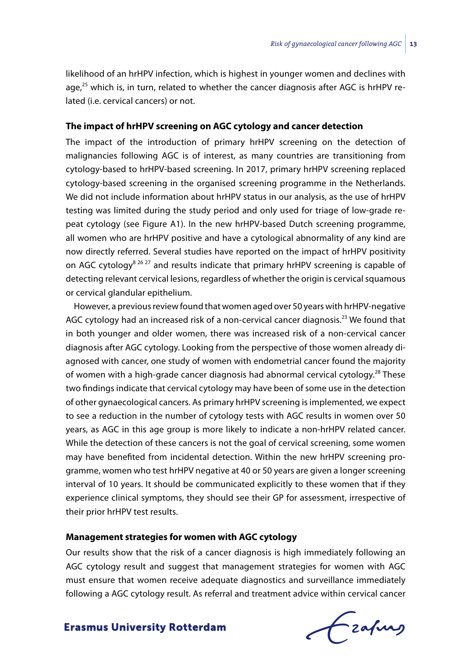likelihood of an hrHPV infection, which is highest in younger women and declines with age,<sup>25</sup> which is, in turn, related to whether the cancer diagnosis after AGC is hrHPV related (i.e. cervical cancers) or not.

# **The impact of hrHPV screening on AGC cytology and cancer detection**

The impact of the introduction of primary hrHPV screening on the detection of malignancies following AGC is of interest, as many countries are transitioning from cytology-based to hrHPV-based screening. In 2017, primary hrHPV screening replaced cytology-based screening in the organised screening programme in the Netherlands. We did not include information about hrHPV status in our analysis, as the use of hrHPV testing was limited during the study period and only used for triage of low-grade repeat cytology (see Figure A1). In the new hrHPV-based Dutch screening programme, all women who are hrHPV positive and have a cytological abnormality of any kind are now directly referred. Several studies have reported on the impact of hrHPV positivity on AGC cytology<sup>8 26 27</sup> and results indicate that primary hrHPV screening is capable of detecting relevant cervical lesions, regardless of whether the origin is cervical squamous or cervical glandular epithelium.

However, a previous review found that women aged over 50 years with hrHPV-negative AGC cytology had an increased risk of a non-cervical cancer diagnosis.<sup>23</sup> We found that in both younger and older women, there was increased risk of a non-cervical cancer diagnosis after AGC cytology. Looking from the perspective of those women already diagnosed with cancer, one study of women with endometrial cancer found the majority of women with a high-grade cancer diagnosis had abnormal cervical cytology.<sup>28</sup> These two findings indicate that cervical cytology may have been of some use in the detection of other gynaecological cancers. As primary hrHPV screening is implemented, we expect to see a reduction in the number of cytology tests with AGC results in women over 50 years, as AGC in this age group is more likely to indicate a non-hrHPV related cancer. While the detection of these cancers is not the goal of cervical screening, some women may have benefited from incidental detection. Within the new hrHPV screening programme, women who test hrHPV negative at 40 or 50 years are given a longer screening interval of 10 years. It should be communicated explicitly to these women that if they experience clinical symptoms, they should see their GP for assessment, irrespective of their prior hrHPV test results.

### **Management strategies for women with AGC cytology**

Our results show that the risk of a cancer diagnosis is high immediately following an AGC cytology result and suggest that management strategies for women with AGC must ensure that women receive adequate diagnostics and surveillance immediately following a AGC cytology result. As referral and treatment advice within cervical cancer

frafing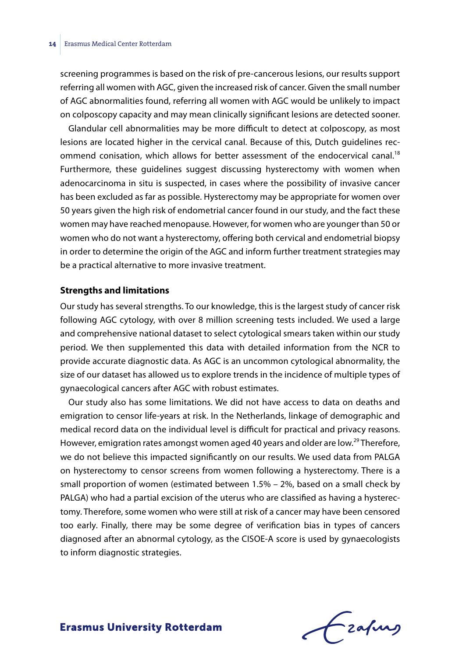screening programmes is based on the risk of pre-cancerous lesions, our results support referring all women with AGC, given the increased risk of cancer. Given the small number of AGC abnormalities found, referring all women with AGC would be unlikely to impact on colposcopy capacity and may mean clinically significant lesions are detected sooner.

Glandular cell abnormalities may be more difficult to detect at colposcopy, as most lesions are located higher in the cervical canal. Because of this, Dutch guidelines recommend conisation, which allows for better assessment of the endocervical canal.<sup>18</sup> Furthermore, these guidelines suggest discussing hysterectomy with women when adenocarcinoma in situ is suspected, in cases where the possibility of invasive cancer has been excluded as far as possible. Hysterectomy may be appropriate for women over 50 years given the high risk of endometrial cancer found in our study, and the fact these women may have reached menopause. However, for women who are younger than 50 or women who do not want a hysterectomy, offering both cervical and endometrial biopsy in order to determine the origin of the AGC and inform further treatment strategies may be a practical alternative to more invasive treatment.

### **Strengths and limitations**

Our study has several strengths. To our knowledge, this is the largest study of cancer risk following AGC cytology, with over 8 million screening tests included. We used a large and comprehensive national dataset to select cytological smears taken within our study period. We then supplemented this data with detailed information from the NCR to provide accurate diagnostic data. As AGC is an uncommon cytological abnormality, the size of our dataset has allowed us to explore trends in the incidence of multiple types of gynaecological cancers after AGC with robust estimates.

Our study also has some limitations. We did not have access to data on deaths and emigration to censor life-years at risk. In the Netherlands, linkage of demographic and medical record data on the individual level is difficult for practical and privacy reasons. However, emigration rates amongst women aged 40 years and older are low.<sup>29</sup> Therefore, we do not believe this impacted significantly on our results. We used data from PALGA on hysterectomy to censor screens from women following a hysterectomy. There is a small proportion of women (estimated between 1.5% – 2%, based on a small check by PALGA) who had a partial excision of the uterus who are classified as having a hysterectomy. Therefore, some women who were still at risk of a cancer may have been censored too early. Finally, there may be some degree of verification bias in types of cancers diagnosed after an abnormal cytology, as the CISOE-A score is used by gynaecologists to inform diagnostic strategies.

Frafing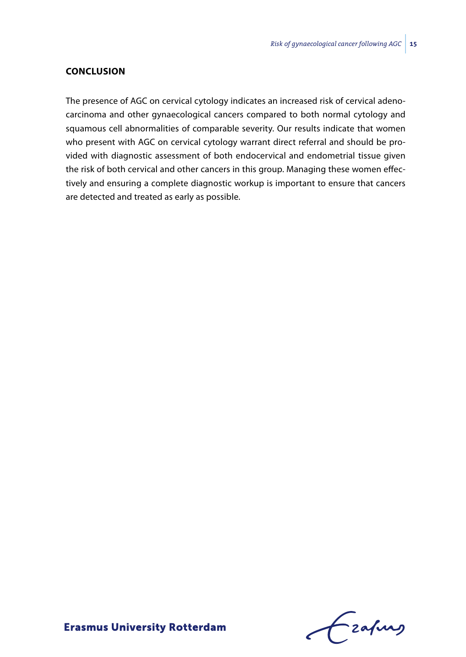### **Conclusion**

The presence of AGC on cervical cytology indicates an increased risk of cervical adenocarcinoma and other gynaecological cancers compared to both normal cytology and squamous cell abnormalities of comparable severity. Our results indicate that women who present with AGC on cervical cytology warrant direct referral and should be provided with diagnostic assessment of both endocervical and endometrial tissue given the risk of both cervical and other cancers in this group. Managing these women effectively and ensuring a complete diagnostic workup is important to ensure that cancers are detected and treated as early as possible.

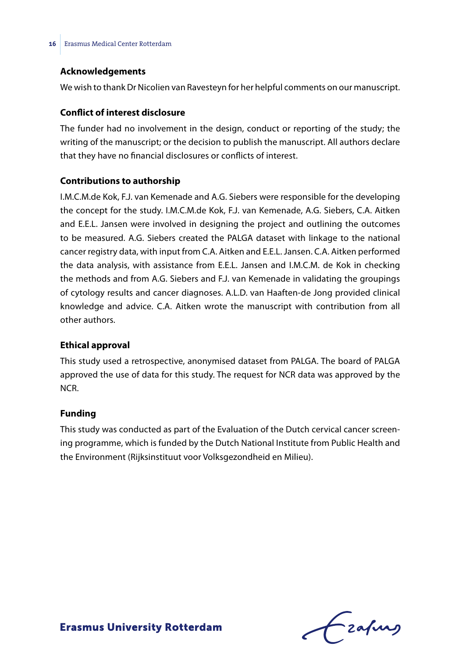### **Acknowledgements**

We wish to thank Dr Nicolien van Ravesteyn for her helpful comments on our manuscript.

### **Conflict of interest disclosure**

The funder had no involvement in the design, conduct or reporting of the study; the writing of the manuscript; or the decision to publish the manuscript. All authors declare that they have no financial disclosures or conflicts of interest.

### **Contributions to authorship**

I.M.C.M.de Kok, F.J. van Kemenade and A.G. Siebers were responsible for the developing the concept for the study. I.M.C.M.de Kok, F.J. van Kemenade, A.G. Siebers, C.A. Aitken and E.E.L. Jansen were involved in designing the project and outlining the outcomes to be measured. A.G. Siebers created the PALGA dataset with linkage to the national cancer registry data, with input from C.A. Aitken and E.E.L. Jansen. C.A. Aitken performed the data analysis, with assistance from E.E.L. Jansen and I.M.C.M. de Kok in checking the methods and from A.G. Siebers and F.J. van Kemenade in validating the groupings of cytology results and cancer diagnoses. A.L.D. van Haaften-de Jong provided clinical knowledge and advice. C.A. Aitken wrote the manuscript with contribution from all other authors.

### **Ethical approval**

This study used a retrospective, anonymised dataset from PALGA. The board of PALGA approved the use of data for this study. The request for NCR data was approved by the NCR.

### **Funding**

This study was conducted as part of the Evaluation of the Dutch cervical cancer screening programme, which is funded by the Dutch National Institute from Public Health and the Environment (Rijksinstituut voor Volksgezondheid en Milieu).

 $f$  zafung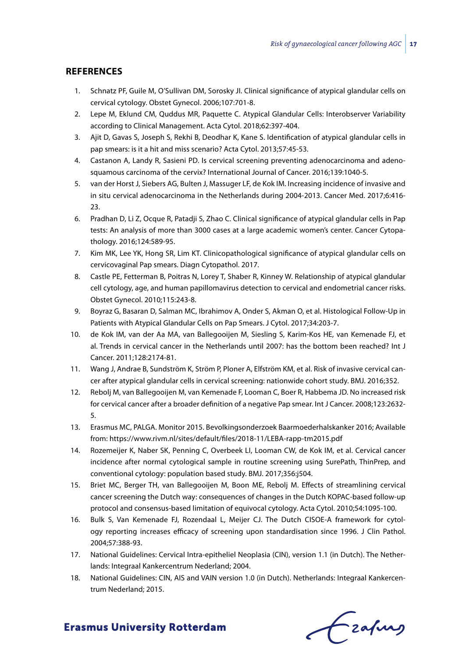### **REFERENCES**

- 1. Schnatz PF, Guile M, O'Sullivan DM, Sorosky JI. Clinical significance of atypical glandular cells on cervical cytology. Obstet Gynecol. 2006;107:701-8.
- 2. Lepe M, Eklund CM, Quddus MR, Paquette C. Atypical Glandular Cells: Interobserver Variability according to Clinical Management. Acta Cytol. 2018;62:397-404.
- 3. Ajit D, Gavas S, Joseph S, Rekhi B, Deodhar K, Kane S. Identification of atypical glandular cells in pap smears: is it a hit and miss scenario? Acta Cytol. 2013;57:45-53.
- 4. Castanon A, Landy R, Sasieni PD. Is cervical screening preventing adenocarcinoma and adenosquamous carcinoma of the cervix? International Journal of Cancer. 2016;139:1040-5.
- 5. van der Horst J, Siebers AG, Bulten J, Massuger LF, de Kok IM. Increasing incidence of invasive and in situ cervical adenocarcinoma in the Netherlands during 2004-2013. Cancer Med. 2017;6:416- 23.
- 6. Pradhan D, Li Z, Ocque R, Patadji S, Zhao C. Clinical significance of atypical glandular cells in Pap tests: An analysis of more than 3000 cases at a large academic women's center. Cancer Cytopathology. 2016;124:589-95.
- 7. Kim MK, Lee YK, Hong SR, Lim KT. Clinicopathological significance of atypical glandular cells on cervicovaginal Pap smears. Diagn Cytopathol. 2017.
- 8. Castle PE, Fetterman B, Poitras N, Lorey T, Shaber R, Kinney W. Relationship of atypical glandular cell cytology, age, and human papillomavirus detection to cervical and endometrial cancer risks. Obstet Gynecol. 2010;115:243-8.
- 9. Boyraz G, Basaran D, Salman MC, Ibrahimov A, Onder S, Akman O, et al. Histological Follow-Up in Patients with Atypical Glandular Cells on Pap Smears. J Cytol. 2017;34:203-7.
- 10. de Kok IM, van der Aa MA, van Ballegooijen M, Siesling S, Karim-Kos HE, van Kemenade FJ, et al. Trends in cervical cancer in the Netherlands until 2007: has the bottom been reached? Int J Cancer. 2011;128:2174-81.
- 11. Wang J, Andrae B, Sundström K, Ström P, Ploner A, Elfström KM, et al. Risk of invasive cervical cancer after atypical glandular cells in cervical screening: nationwide cohort study. BMJ. 2016;352.
- 12. Rebolj M, van Ballegooijen M, van Kemenade F, Looman C, Boer R, Habbema JD. No increased risk for cervical cancer after a broader definition of a negative Pap smear. Int J Cancer. 2008;123:2632- 5.
- 13. Erasmus MC, PALGA. Monitor 2015. Bevolkingsonderzoek Baarmoederhalskanker 2016; Available from: https://www.rivm.nl/sites/default/files/2018-11/LEBA-rapp-tm2015.pdf
- 14. Rozemeijer K, Naber SK, Penning C, Overbeek LI, Looman CW, de Kok IM, et al. Cervical cancer incidence after normal cytological sample in routine screening using SurePath, ThinPrep, and conventional cytology: population based study. BMJ. 2017;356:j504.
- 15. Briet MC, Berger TH, van Ballegooijen M, Boon ME, Rebolj M. Effects of streamlining cervical cancer screening the Dutch way: consequences of changes in the Dutch KOPAC-based follow-up protocol and consensus-based limitation of equivocal cytology. Acta Cytol. 2010;54:1095-100.
- 16. Bulk S, Van Kemenade FJ, Rozendaal L, Meijer CJ. The Dutch CISOE-A framework for cytology reporting increases efficacy of screening upon standardisation since 1996. J Clin Pathol. 2004;57:388-93.
- 17. National Guidelines: Cervical Intra-epitheliel Neoplasia (CIN), version 1.1 (in Dutch). The Netherlands: Integraal Kankercentrum Nederland; 2004.
- 18. National Guidelines: CIN, AIS and VAIN version 1.0 (in Dutch). Netherlands: Integraal Kankercentrum Nederland; 2015.

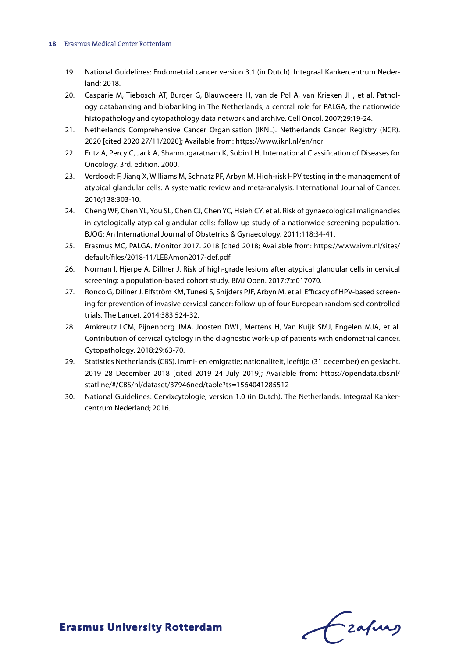#### **18** Erasmus Medical Center Rotterdam

- 19. National Guidelines: Endometrial cancer version 3.1 (in Dutch). Integraal Kankercentrum Nederland; 2018.
- 20. Casparie M, Tiebosch AT, Burger G, Blauwgeers H, van de Pol A, van Krieken JH, et al. Pathology databanking and biobanking in The Netherlands, a central role for PALGA, the nationwide histopathology and cytopathology data network and archive. Cell Oncol. 2007;29:19-24.
- 21. Netherlands Comprehensive Cancer Organisation (IKNL). Netherlands Cancer Registry (NCR). 2020 [cited 2020 27/11/2020]; Available from: https://www.iknl.nl/en/ncr
- 22. Fritz A, Percy C, Jack A, Shanmugaratnam K, Sobin LH. International Classification of Diseases for Oncology, 3rd. edition. 2000.
- 23. Verdoodt F, Jiang X, Williams M, Schnatz PF, Arbyn M. High-risk HPV testing in the management of atypical glandular cells: A systematic review and meta-analysis. International Journal of Cancer. 2016;138:303-10.
- 24. Cheng WF, Chen YL, You SL, Chen CJ, Chen YC, Hsieh CY, et al. Risk of gynaecological malignancies in cytologically atypical glandular cells: follow-up study of a nationwide screening population. BJOG: An International Journal of Obstetrics & Gynaecology. 2011;118:34-41.
- 25. Erasmus MC, PALGA. Monitor 2017. 2018 [cited 2018; Available from: https://www.rivm.nl/sites/ default/files/2018-11/LEBAmon2017-def.pdf
- 26. Norman I, Hjerpe A, Dillner J. Risk of high-grade lesions after atypical glandular cells in cervical screening: a population-based cohort study. BMJ Open. 2017;7:e017070.
- 27. Ronco G, Dillner J, Elfström KM, Tunesi S, Snijders PJF, Arbyn M, et al. Efficacy of HPV-based screening for prevention of invasive cervical cancer: follow-up of four European randomised controlled trials. The Lancet. 2014;383:524-32.
- 28. Amkreutz LCM, Pijnenborg JMA, Joosten DWL, Mertens H, Van Kuijk SMJ, Engelen MJA, et al. Contribution of cervical cytology in the diagnostic work-up of patients with endometrial cancer. Cytopathology. 2018;29:63-70.
- 29. Statistics Netherlands (CBS). Immi- en emigratie; nationaliteit, leeftijd (31 december) en geslacht. 2019 28 December 2018 [cited 2019 24 July 2019]; Available from: https://opendata.cbs.nl/ statline/#/CBS/nl/dataset/37946ned/table?ts=1564041285512
- 30. National Guidelines: Cervixcytologie, version 1.0 (in Dutch). The Netherlands: Integraal Kankercentrum Nederland; 2016.

frafing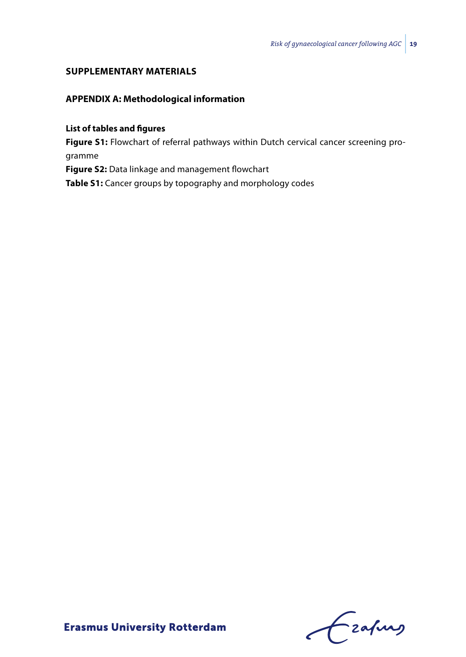### **SUPPLEMENTARY MATERIALS**

# **APPENDIX A: Methodological information**

**List of tables and figures**

**Figure S1:** Flowchart of referral pathways within Dutch cervical cancer screening programme

**Figure S2:** Data linkage and management flowchart

**Table S1:** Cancer groups by topography and morphology codes

Frahing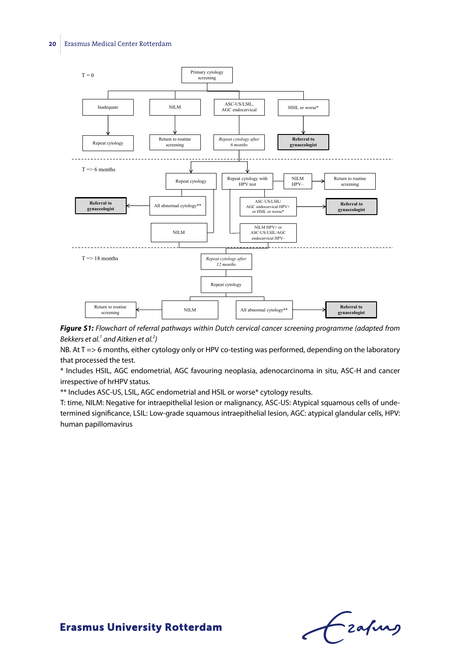

*Figure S1: Flowchart of referral pathways within Dutch cervical cancer screening programme (adapted from Bekkers et al.1 and Aitken et al.2 )*

NB. At T => 6 months, either cytology only or HPV co-testing was performed, depending on the laboratory that processed the test.

\* Includes HSIL, AGC endometrial, AGC favouring neoplasia, adenocarcinoma in situ, ASC-H and cancer irrespective of hrHPV status.

\*\* Includes ASC‐US, LSIL, AGC endometrial and HSIL or worse\* cytology results.

T: time, NILM: Negative for intraepithelial lesion or malignancy, ASC-US: Atypical squamous cells of undetermined significance, LSIL: Low-grade squamous intraepithelial lesion, AGC: atypical glandular cells, HPV: human papillomavirus

Frahing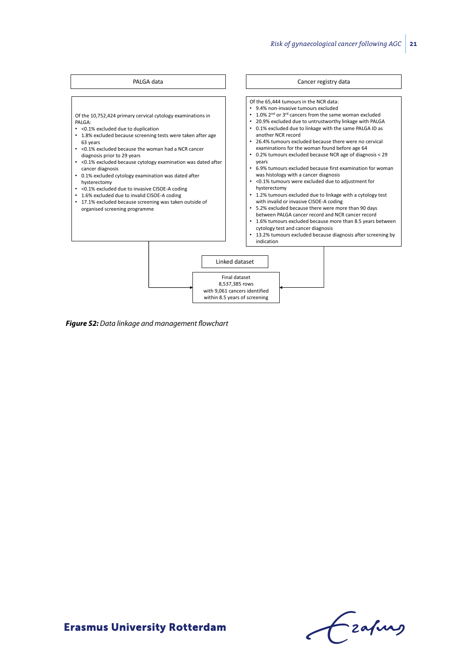

*Figure S2: Data linkage and management flowchart*

Frahing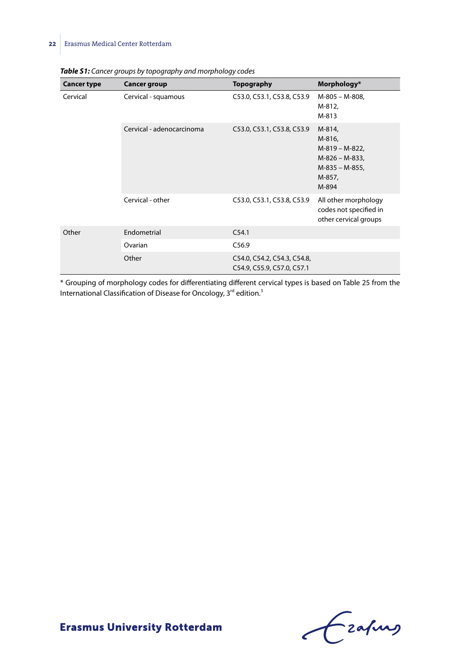| <b>Cancer type</b> | <b>Cancer group</b>       | <b>Topography</b>                                         | Morphology*                                                                               |
|--------------------|---------------------------|-----------------------------------------------------------|-------------------------------------------------------------------------------------------|
| Cervical           | Cervical - squamous       | C53.0, C53.1, C53.8, C53.9                                | M-805 - M-808,<br>M-812,<br>M-813                                                         |
|                    | Cervical - adenocarcinoma | C53.0, C53.1, C53.8, C53.9                                | M-814,<br>M-816,<br>M-819 - M-822,<br>M-826 - M-833,<br>M-835 - M-855,<br>M-857,<br>M-894 |
|                    | Cervical - other          | C53.0, C53.1, C53.8, C53.9                                | All other morphology<br>codes not specified in<br>other cervical groups                   |
| Other              | Endometrial               | C <sub>54.1</sub>                                         |                                                                                           |
|                    | Ovarian                   | C56.9                                                     |                                                                                           |
|                    | Other                     | C54.0, C54.2, C54.3, C54.8,<br>C54.9, C55.9, C57.0, C57.1 |                                                                                           |

\* Grouping of morphology codes for differentiating different cervical types is based on Table 25 from the International Classification of Disease for Oncology, 3<sup>rd</sup> edition.<sup>3</sup>

Czahny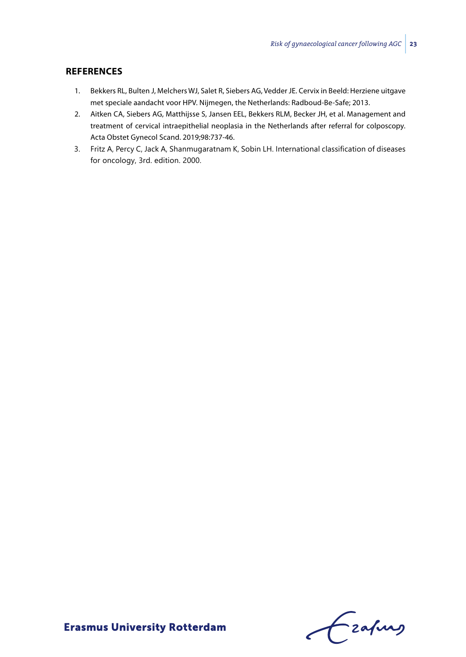### **References**

- 1. Bekkers RL, Bulten J, Melchers WJ, Salet R, Siebers AG, Vedder JE. Cervix in Beeld: Herziene uitgave met speciale aandacht voor HPV. Nijmegen, the Netherlands: Radboud-Be-Safe; 2013.
- 2. Aitken CA, Siebers AG, Matthijsse S, Jansen EEL, Bekkers RLM, Becker JH, et al. Management and treatment of cervical intraepithelial neoplasia in the Netherlands after referral for colposcopy. Acta Obstet Gynecol Scand. 2019;98:737-46.
- 3. Fritz A, Percy C, Jack A, Shanmugaratnam K, Sobin LH. International classification of diseases for oncology, 3rd. edition. 2000.

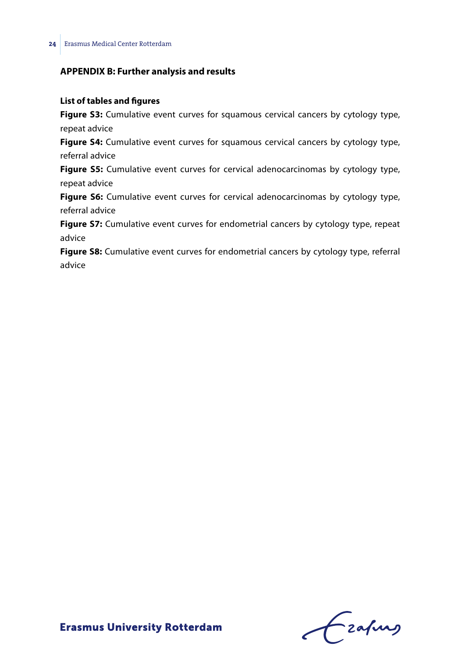# **APPENDIX B: Further analysis and results**

### **List of tables and figures**

**Figure S3:** Cumulative event curves for squamous cervical cancers by cytology type, repeat advice

**Figure S4:** Cumulative event curves for squamous cervical cancers by cytology type, referral advice

**Figure S5:** Cumulative event curves for cervical adenocarcinomas by cytology type, repeat advice

**Figure S6:** Cumulative event curves for cervical adenocarcinomas by cytology type, referral advice

**Figure S7:** Cumulative event curves for endometrial cancers by cytology type, repeat advice

**Figure S8:** Cumulative event curves for endometrial cancers by cytology type, referral advice

Frahing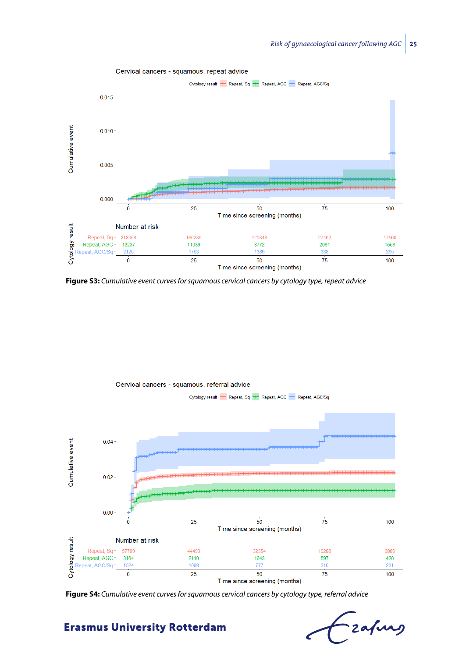

**Figure S3:** *Cumulative event curves for squamous cervical cancers by cytology type, repeat advice*



**Figure S4:** *Cumulative event curves for squamous cervical cancers by cytology type, referral advice*

-<br>zafung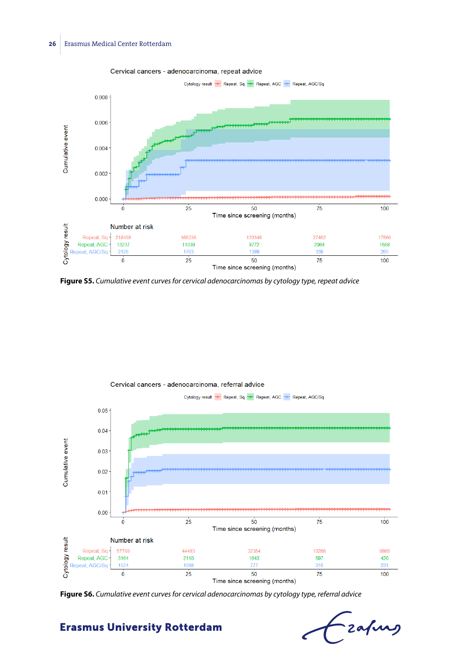

Cervical cancers - adenocarcinoma, repeat advice





**Figure S6.** *Cumulative event curves for cervical adenocarcinomas by cytology type, referral advice*

-<br>Eafurg